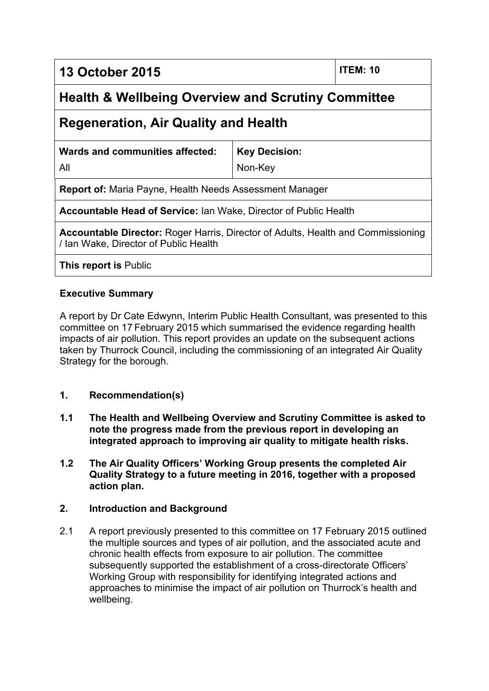**13 October 2015 ITEM: 10**

# **Health & Wellbeing Overview and Scrutiny Committee**

# **Regeneration, Air Quality and Health**

| Wards and communities affected: | Key Decision: |
|---------------------------------|---------------|
| All                             | Non-Kev       |

**Report of:** Maria Payne, Health Needs Assessment Manager

**Accountable Head of Service:** Ian Wake, Director of Public Health

**Accountable Director:** Roger Harris, Director of Adults, Health and Commissioning / Ian Wake, Director of Public Health

**This report is** Public

# **Executive Summary**

A report by Dr Cate Edwynn, Interim Public Health Consultant, was presented to this committee on 17 February 2015 which summarised the evidence regarding health impacts of air pollution. This report provides an update on the subsequent actions taken by Thurrock Council, including the commissioning of an integrated Air Quality Strategy for the borough.

# **1. Recommendation(s)**

- **1.1 The Health and Wellbeing Overview and Scrutiny Committee is asked to note the progress made from the previous report in developing an integrated approach to improving air quality to mitigate health risks.**
- **1.2 The Air Quality Officers' Working Group presents the completed Air Quality Strategy to a future meeting in 2016, together with a proposed action plan.**

# **2. Introduction and Background**

2.1 A report previously presented to this committee on 17 February 2015 outlined the multiple sources and types of air pollution, and the associated acute and chronic health effects from exposure to air pollution. The committee subsequently supported the establishment of a cross-directorate Officers' Working Group with responsibility for identifying integrated actions and approaches to minimise the impact of air pollution on Thurrock's health and wellbeing.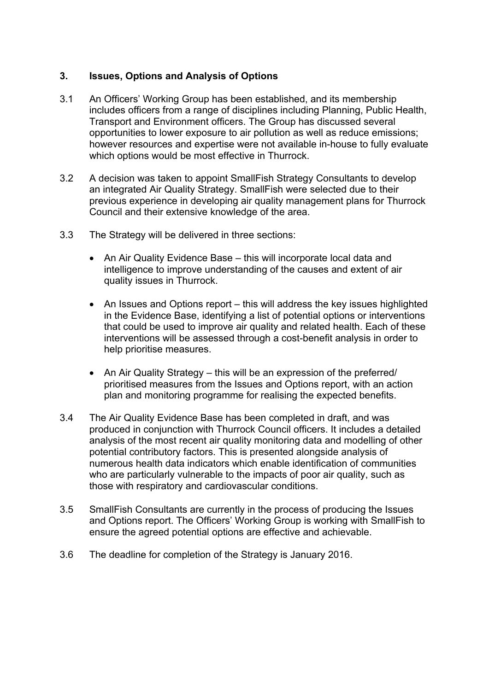### **3. Issues, Options and Analysis of Options**

- 3.1 An Officers' Working Group has been established, and its membership includes officers from a range of disciplines including Planning, Public Health, Transport and Environment officers. The Group has discussed several opportunities to lower exposure to air pollution as well as reduce emissions; however resources and expertise were not available in-house to fully evaluate which options would be most effective in Thurrock.
- 3.2 A decision was taken to appoint SmallFish Strategy Consultants to develop an integrated Air Quality Strategy. SmallFish were selected due to their previous experience in developing air quality management plans for Thurrock Council and their extensive knowledge of the area.
- 3.3 The Strategy will be delivered in three sections:
	- An Air Quality Evidence Base this will incorporate local data and intelligence to improve understanding of the causes and extent of air quality issues in Thurrock.
	- An Issues and Options report this will address the key issues highlighted in the Evidence Base, identifying a list of potential options or interventions that could be used to improve air quality and related health. Each of these interventions will be assessed through a cost-benefit analysis in order to help prioritise measures.
	- An Air Quality Strategy this will be an expression of the preferred/ prioritised measures from the Issues and Options report, with an action plan and monitoring programme for realising the expected benefits.
- 3.4 The Air Quality Evidence Base has been completed in draft, and was produced in conjunction with Thurrock Council officers. It includes a detailed analysis of the most recent air quality monitoring data and modelling of other potential contributory factors. This is presented alongside analysis of numerous health data indicators which enable identification of communities who are particularly vulnerable to the impacts of poor air quality, such as those with respiratory and cardiovascular conditions.
- 3.5 SmallFish Consultants are currently in the process of producing the Issues and Options report. The Officers' Working Group is working with SmallFish to ensure the agreed potential options are effective and achievable.
- 3.6 The deadline for completion of the Strategy is January 2016.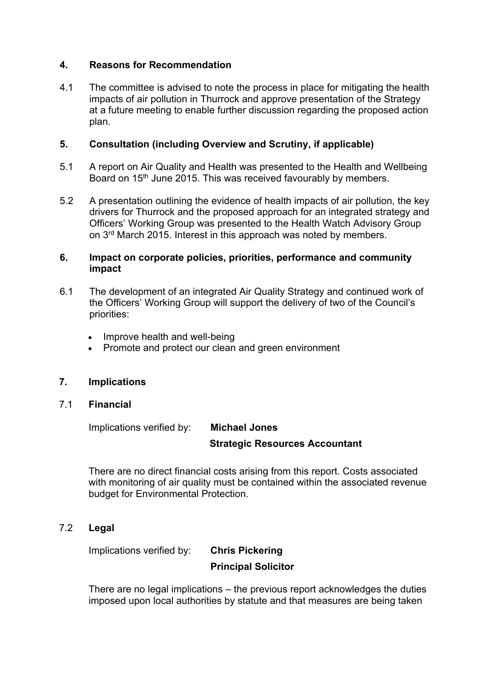#### **4. Reasons for Recommendation**

4.1 The committee is advised to note the process in place for mitigating the health impacts of air pollution in Thurrock and approve presentation of the Strategy at a future meeting to enable further discussion regarding the proposed action plan.

#### **5. Consultation (including Overview and Scrutiny, if applicable)**

- 5.1 A report on Air Quality and Health was presented to the Health and Wellbeing Board on 15<sup>th</sup> June 2015. This was received favourably by members.
- 5.2 A presentation outlining the evidence of health impacts of air pollution, the key drivers for Thurrock and the proposed approach for an integrated strategy and Officers' Working Group was presented to the Health Watch Advisory Group on 3<sup>rd</sup> March 2015. Interest in this approach was noted by members.

#### **6. Impact on corporate policies, priorities, performance and community impact**

- 6.1 The development of an integrated Air Quality Strategy and continued work of the Officers' Working Group will support the delivery of two of the Council's priorities:
	- Improve health and well-being
	- Promote and protect our clean and green environment

#### **7. Implications**

7.1 **Financial**

Implications verified by: **Michael Jones**

# **Strategic Resources Accountant**

There are no direct financial costs arising from this report. Costs associated with monitoring of air quality must be contained within the associated revenue budget for Environmental Protection.

7.2 **Legal**

Implications verified by: **Chris Pickering**

# **Principal Solicitor**

There are no legal implications – the previous report acknowledges the duties imposed upon local authorities by statute and that measures are being taken